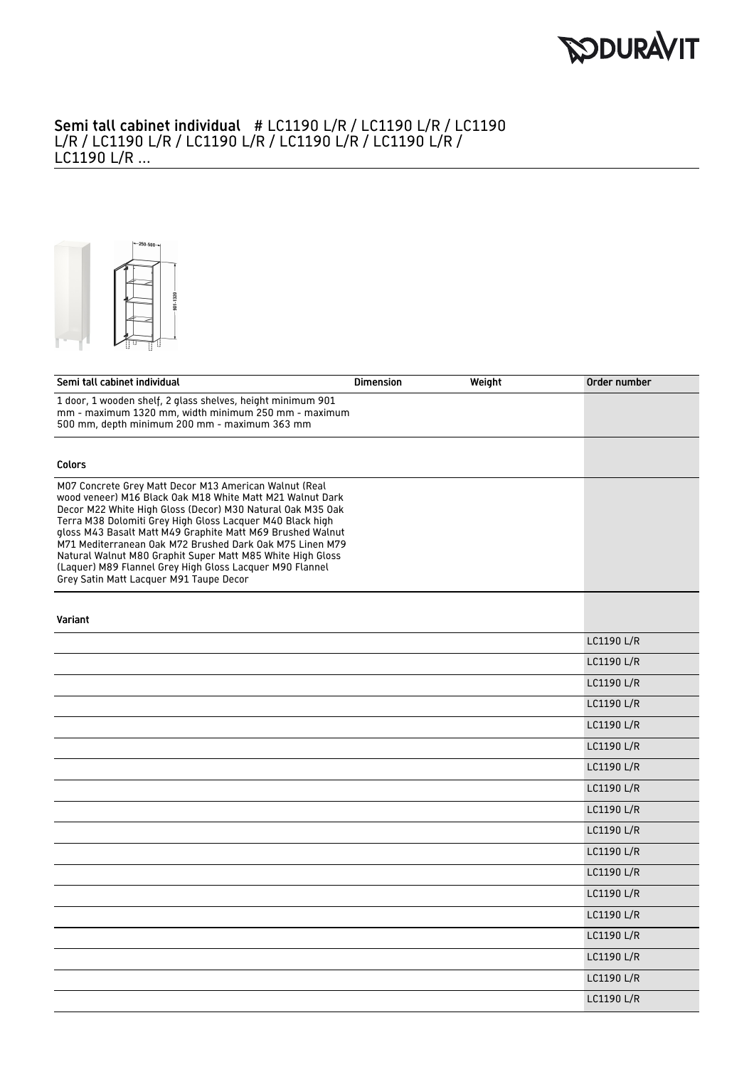

## Semi tall cabinet individual # LC1190 L/R / LC1190 L/R / LC1190 L/R / LC1190 L/R / LC1190 L/R / LC1190 L/R / LC1190 L/R / LC1190 L/R ...



| Semi tall cabinet individual                                                                                                                                                                                                                                                                                                                                                                                                                                                                                                                  | <b>Dimension</b> | Weight | Order number      |
|-----------------------------------------------------------------------------------------------------------------------------------------------------------------------------------------------------------------------------------------------------------------------------------------------------------------------------------------------------------------------------------------------------------------------------------------------------------------------------------------------------------------------------------------------|------------------|--------|-------------------|
| 1 door, 1 wooden shelf, 2 glass shelves, height minimum 901<br>mm - maximum 1320 mm, width minimum 250 mm - maximum<br>500 mm, depth minimum 200 mm - maximum 363 mm                                                                                                                                                                                                                                                                                                                                                                          |                  |        |                   |
|                                                                                                                                                                                                                                                                                                                                                                                                                                                                                                                                               |                  |        |                   |
| <b>Colors</b>                                                                                                                                                                                                                                                                                                                                                                                                                                                                                                                                 |                  |        |                   |
| M07 Concrete Grey Matt Decor M13 American Walnut (Real<br>wood veneer) M16 Black Oak M18 White Matt M21 Walnut Dark<br>Decor M22 White High Gloss (Decor) M30 Natural Oak M35 Oak<br>Terra M38 Dolomiti Grey High Gloss Lacquer M40 Black high<br>gloss M43 Basalt Matt M49 Graphite Matt M69 Brushed Walnut<br>M71 Mediterranean Oak M72 Brushed Dark Oak M75 Linen M79<br>Natural Walnut M80 Graphit Super Matt M85 White High Gloss<br>(Laquer) M89 Flannel Grey High Gloss Lacquer M90 Flannel<br>Grey Satin Matt Lacquer M91 Taupe Decor |                  |        |                   |
| Variant                                                                                                                                                                                                                                                                                                                                                                                                                                                                                                                                       |                  |        |                   |
|                                                                                                                                                                                                                                                                                                                                                                                                                                                                                                                                               |                  |        | LC1190 L/R        |
|                                                                                                                                                                                                                                                                                                                                                                                                                                                                                                                                               |                  |        | LC1190 L/R        |
|                                                                                                                                                                                                                                                                                                                                                                                                                                                                                                                                               |                  |        | LC1190 L/R        |
|                                                                                                                                                                                                                                                                                                                                                                                                                                                                                                                                               |                  |        | LC1190 L/R        |
|                                                                                                                                                                                                                                                                                                                                                                                                                                                                                                                                               |                  |        | LC1190 L/R        |
|                                                                                                                                                                                                                                                                                                                                                                                                                                                                                                                                               |                  |        | <b>LC1190 L/R</b> |
|                                                                                                                                                                                                                                                                                                                                                                                                                                                                                                                                               |                  |        | LC1190 L/R        |
|                                                                                                                                                                                                                                                                                                                                                                                                                                                                                                                                               |                  |        | LC1190 L/R        |
|                                                                                                                                                                                                                                                                                                                                                                                                                                                                                                                                               |                  |        | LC1190 L/R        |
|                                                                                                                                                                                                                                                                                                                                                                                                                                                                                                                                               |                  |        | LC1190 L/R        |
|                                                                                                                                                                                                                                                                                                                                                                                                                                                                                                                                               |                  |        | LC1190 L/R        |
|                                                                                                                                                                                                                                                                                                                                                                                                                                                                                                                                               |                  |        | LC1190 L/R        |
|                                                                                                                                                                                                                                                                                                                                                                                                                                                                                                                                               |                  |        | LC1190 L/R        |
|                                                                                                                                                                                                                                                                                                                                                                                                                                                                                                                                               |                  |        | LC1190 L/R        |
|                                                                                                                                                                                                                                                                                                                                                                                                                                                                                                                                               |                  |        | LC1190 L/R        |
|                                                                                                                                                                                                                                                                                                                                                                                                                                                                                                                                               |                  |        | LC1190 L/R        |
|                                                                                                                                                                                                                                                                                                                                                                                                                                                                                                                                               |                  |        | LC1190 L/R        |
|                                                                                                                                                                                                                                                                                                                                                                                                                                                                                                                                               |                  |        | LC1190 L/R        |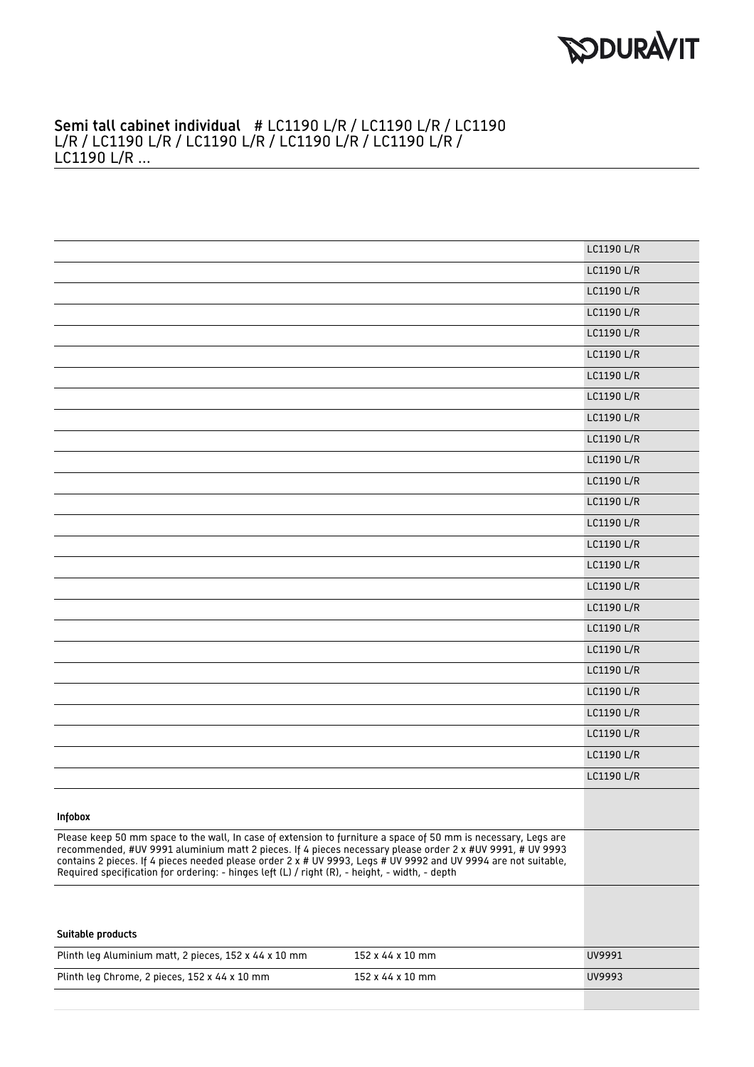

## Semi tall cabinet individual # LC1190 L/R / LC1190 L/R / LC1190 L/R / LC1190 L/R / LC1190 L/R / LC1190 L/R / LC1190 L/R / LC1190 L/R ...

|                                                                                                                                                                                                                                                                                                                                                                                                                                                 | LC1190 L/R |
|-------------------------------------------------------------------------------------------------------------------------------------------------------------------------------------------------------------------------------------------------------------------------------------------------------------------------------------------------------------------------------------------------------------------------------------------------|------------|
|                                                                                                                                                                                                                                                                                                                                                                                                                                                 | LC1190 L/R |
|                                                                                                                                                                                                                                                                                                                                                                                                                                                 | LC1190 L/R |
|                                                                                                                                                                                                                                                                                                                                                                                                                                                 | LC1190 L/R |
|                                                                                                                                                                                                                                                                                                                                                                                                                                                 | LC1190 L/R |
|                                                                                                                                                                                                                                                                                                                                                                                                                                                 | LC1190 L/R |
|                                                                                                                                                                                                                                                                                                                                                                                                                                                 | LC1190 L/R |
|                                                                                                                                                                                                                                                                                                                                                                                                                                                 | LC1190 L/R |
|                                                                                                                                                                                                                                                                                                                                                                                                                                                 | LC1190 L/R |
|                                                                                                                                                                                                                                                                                                                                                                                                                                                 | LC1190 L/R |
|                                                                                                                                                                                                                                                                                                                                                                                                                                                 | LC1190 L/R |
|                                                                                                                                                                                                                                                                                                                                                                                                                                                 | LC1190 L/R |
|                                                                                                                                                                                                                                                                                                                                                                                                                                                 | LC1190 L/R |
|                                                                                                                                                                                                                                                                                                                                                                                                                                                 | LC1190 L/R |
|                                                                                                                                                                                                                                                                                                                                                                                                                                                 | LC1190 L/R |
|                                                                                                                                                                                                                                                                                                                                                                                                                                                 | LC1190 L/R |
|                                                                                                                                                                                                                                                                                                                                                                                                                                                 | LC1190 L/R |
|                                                                                                                                                                                                                                                                                                                                                                                                                                                 | LC1190 L/R |
|                                                                                                                                                                                                                                                                                                                                                                                                                                                 | LC1190 L/R |
|                                                                                                                                                                                                                                                                                                                                                                                                                                                 | LC1190 L/R |
|                                                                                                                                                                                                                                                                                                                                                                                                                                                 | LC1190 L/R |
|                                                                                                                                                                                                                                                                                                                                                                                                                                                 | LC1190 L/R |
|                                                                                                                                                                                                                                                                                                                                                                                                                                                 | LC1190 L/R |
|                                                                                                                                                                                                                                                                                                                                                                                                                                                 | LC1190 L/R |
|                                                                                                                                                                                                                                                                                                                                                                                                                                                 | LC1190 L/R |
|                                                                                                                                                                                                                                                                                                                                                                                                                                                 | LC1190 L/R |
|                                                                                                                                                                                                                                                                                                                                                                                                                                                 |            |
| Infobox                                                                                                                                                                                                                                                                                                                                                                                                                                         |            |
| Please keep 50 mm space to the wall, In case of extension to furniture a space of 50 mm is necessary, Legs are<br>recommended, #UV 9991 aluminium matt 2 pieces. If 4 pieces necessary please order 2 x #UV 9991, # UV 9993<br>contains 2 pieces. If 4 pieces needed please order 2 x # UV 9993, Legs # UV 9992 and UV 9994 are not suitable,<br>Required specification for ordering: - hinges left (L) / right (R), - height, - width, - depth |            |
|                                                                                                                                                                                                                                                                                                                                                                                                                                                 |            |
| Suitable products                                                                                                                                                                                                                                                                                                                                                                                                                               |            |
| Plinth leg Aluminium matt, 2 pieces, 152 x 44 x 10 mm<br>152 x 44 x 10 mm                                                                                                                                                                                                                                                                                                                                                                       | UV9991     |
| Plinth leg Chrome, 2 pieces, 152 x 44 x 10 mm<br>152 x 44 x 10 mm                                                                                                                                                                                                                                                                                                                                                                               | UV9993     |
|                                                                                                                                                                                                                                                                                                                                                                                                                                                 |            |